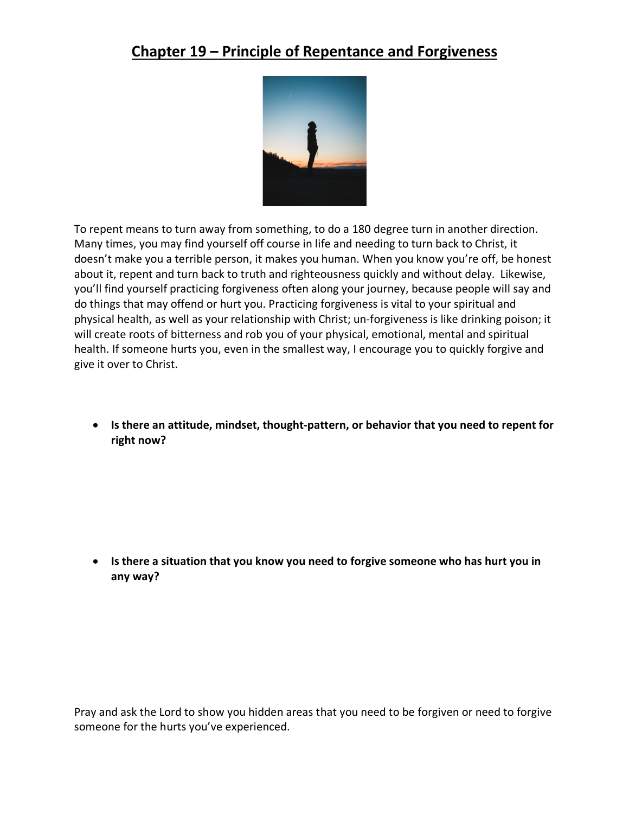## **Chapter 19 – Principle of Repentance and Forgiveness**



To repent means to turn away from something, to do a 180 degree turn in another direction. Many times, you may find yourself off course in life and needing to turn back to Christ, it doesn't make you a terrible person, it makes you human. When you know you're off, be honest about it, repent and turn back to truth and righteousness quickly and without delay. Likewise, you'll find yourself practicing forgiveness often along your journey, because people will say and do things that may offend or hurt you. Practicing forgiveness is vital to your spiritual and physical health, as well as your relationship with Christ; un-forgiveness is like drinking poison; it will create roots of bitterness and rob you of your physical, emotional, mental and spiritual health. If someone hurts you, even in the smallest way, I encourage you to quickly forgive and give it over to Christ.

• **Is there an attitude, mindset, thought-pattern, or behavior that you need to repent for right now?** 

• **Is there a situation that you know you need to forgive someone who has hurt you in any way?**

Pray and ask the Lord to show you hidden areas that you need to be forgiven or need to forgive someone for the hurts you've experienced.